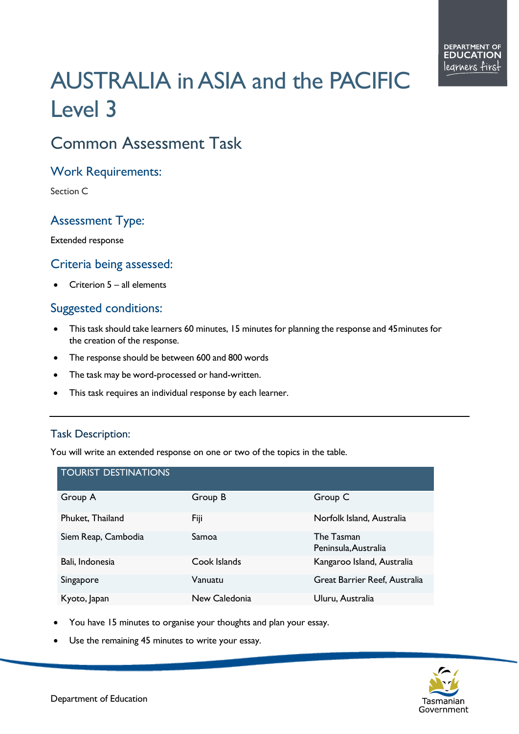# AUSTRALIA in ASIA and the PACIFIC Level 3

## Common Assessment Task

#### Work Requirements:

Section C

### Assessment Type:

Extended response

#### Criteria being assessed:

Criterion  $5 -$ all elements

#### Suggested conditions:

- This task should take learners 60 minutes, 15 minutes for planning the response and 45minutes for the creation of the response.
- The response should be between 600 and 800 words
- The task may be word-processed or hand-written.
- This task requires an individual response by each learner.

#### Task Description:

You will write an extended response on one or two of the topics in the table.

| <b>TOURIST DESTINATIONS</b> |               |                                    |
|-----------------------------|---------------|------------------------------------|
| Group A                     | Group B       | Group C                            |
| Phuket, Thailand            | Fiji          | Norfolk Island, Australia          |
| Siem Reap, Cambodia         | Samoa         | The Tasman<br>Peninsula, Australia |
| Bali, Indonesia             | Cook Islands  | Kangaroo Island, Australia         |
| Singapore                   | Vanuatu       | Great Barrier Reef, Australia      |
| Kyoto, Japan                | New Caledonia | Uluru, Australia                   |

- You have 15 minutes to organise your thoughts and plan your essay.
- Use the remaining 45 minutes to write your essay.